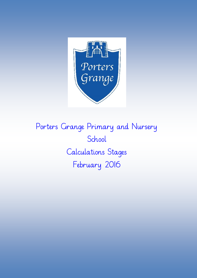

Porters Grange Primary and Nursery School Calculations Stages February 2016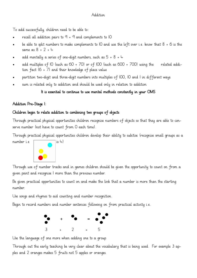#### Addition

To add successfully, children need to be able to:

- recall all addition pairs to  $9 + 9$  and complements to IO
- be able to split numbers to make complements to 10 and use the left over i.e. know that 8 + 6 is the same as 8 + 2 + 4
- add mentally a series of one-digit numbers, such as  $5 + 8 + 4$
- add multiples of 10 (such as 60 + 70) or of 100 (such as 600 + 700) using the related addition fact (6 + 7) and their knowledge of place value
- partition two-digit and three-digit numbers into multiples of 100, 10 and 1 in different ways.
- sum is related only to addition and should be used only in relation to addition

# It is essential to continue to use mental methods constantly in your OMS

# Addition Pre-Stage 1:

### Children begin to relate addition to combining two groups of objects

Through practical physical opportunities children recognise numbers of objects so that they are able to conserve number (not have to count from 0 each time).

Through practical physical opportunities children develop their ability to subitise (recognise small groups as a



Through use of number tracks and in games children should be given the opportunity to count on from a given point and recognise 1 more than the previous number.

Be given practical opportunities to count on and make the link that a number is more than the starting number.

Use songs and rhymes to aid counting and number recognition.

Begin to record numbers and number sentences following on from practical activity i.e.



Use the language of one more when adding one to a group

Through out the early teaching be very clear about the vocabulary that is being used. For example 3 apples and 2 oranges makes 5 fruits not 5 apples or oranges.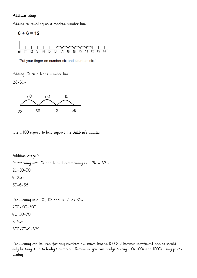### Addition Stage 1:

Adding by counting on a marked number line



'Put your finger on number six and count on six.'

Adding 10s on a blank number line

 $28 + 30=$ 



Use a 100 square to help support the children's addition.

### Addition Stage 2:

Partitioning into IOs and Is and recombining i.e.  $24 + 32 =$ 20+30=50  $4+2=6$ 50+6=56

Partitioning into IOO, IOs and Is 243+136= 200+100=300 40+30=70 3+6=9 300+70+9=379

Partitioning can be used for any numbers but much beyond 1000s it becomes inefficient and so should only be taught up to 4-digit numbers. Remember you can bridge through 10s, 100s and 1000s using partitioning.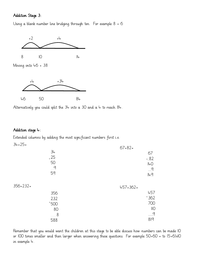#### Addition Stage 3:

Using a blank number line bridging through ten. For example 8 + 6



Alternatively you could split the  $3+$  into a 30 and a  $+$  to reach  $8+$ .

#### Addition stage 4:

Extended columns by adding the most significant numbers first i.e.

+ 500  $+$   $\frac{1}{2}$ + 362  $457+362=$ 457 700  $110$  9 819  $34+25=$ 34  $+25$ 50  $\overline{q}$ 59 356+232= 356 232 80 8 588  $67+82=$ 67 + 82 140 9 149

Remember that you would want the children at this stage to be able discuss how numbers can be made 10 or 100 times smaller and then larger when answering these questions. For example 50+60 = to (5+6)x10 in example 4.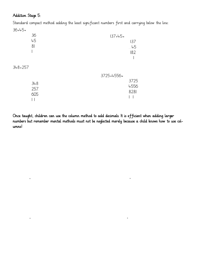# Addition Stage 5:

Standard compact method adding the least significant numbers first and carrying below the line:

| $36+45=$    |     |              |      |
|-------------|-----|--------------|------|
|             | 36  | $137 + 5 =$  |      |
|             | 45  |              | 137  |
|             | 81  |              | 45   |
|             |     |              | 182  |
|             |     |              |      |
| $348 + 257$ |     |              |      |
|             |     | $3725++556=$ |      |
|             | 348 |              | 3725 |
|             | 257 |              | 4556 |
|             | 605 |              | 8281 |
|             |     |              |      |
|             |     |              |      |

 $+$  +  $+$ 

 $+$  +

Once taught, children can use the column method to add decimals. It is efficient when adding larger numbers but remember mental methods must not be neglected merely because a child knows how to use columns!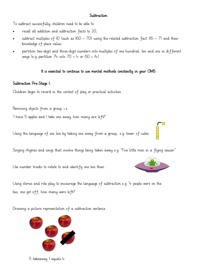#### **Subtraction**

To subtract successfully, children need to be able to:

- recall all addition and subtraction facts to 20;
- subtract multiples of IO (such as  $160 70$ ) using the related subtraction fact  $(16 7)$  and their knowledge of place value;
- partition two-digit and three-digit numbers into multiples of one hundred, ten and one in different ways (e.g. partition  $74$  into  $70 + 4$  or  $60 + 14$ ).

#### It is essential to continue to use mental methods constantly in your OMS

#### Subtraction Pre-Stage 1:

Children begin to record in the context of play or practical activities.

Removing objects from a group, i.e.

'I have 5 apples and I take one away, how many are left?'

Using the language of one less by taking one away from a group,, e.g. tower of cubes

Singing rhymes and songs that involve things being taken away e.g. "Five little men in a flying saucer"

Use number tracks to relate to and identify one less than.

Using stories and role play to encourage the language of subtraction e.g. '4 people were on the bus, one got off, how many were left?'

Drawing a picture representation of a subtraction sentence.



5 takeaway 1 equals 4



 $\Box$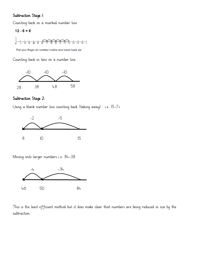# Subtraction Stage 1:

 $\sim$ 

Counting back on a marked number line

$$
12 - 6 = 6
$$

'Put your finger on number twelve and count back six.'

Counting back in tens on a number line.



## Subtraction Stage 2:

Using a blank number line counting back (taking away). i.e. 15-7=



Moving onto larger numbers i.e. 84-38



This is the least efficient method but it does make clear that numbers are being reduced in size by the subtraction.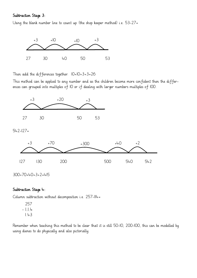# Subtraction Stage 3:

Using the blank number line to count up (the shop keeper method) i.e. 53-27=



Then add the differences together.  $10+10+3+3=26$ 

This method can be applied to any number and as the children become more confident then the differences can grouped into multiples of 10 or if dealing with larger numbers multiples of 100.



300+70+40+3+2=415

#### Subtraction Stage 4:

Column subtraction without decomposition i.e. 257-114=

Remember when teaching this method to be clear that it is still 50-10, 200-100, this can be modelled by using dienes to do physically and also pictorially.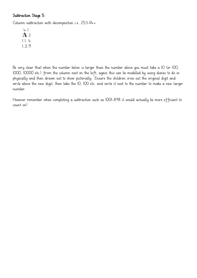# Subtraction Stage 5:

Column subtraction with decomposition i.e. 253-114=

Be very clear that when the number below is larger than the number above you must take a IO (or IOO, 1000, 10000 etc.) from the column next on the left, again this can be modelled by using dienes to do so physically and then drawn out to show pictorially. Ensure the children cross out the original digit and write above the new digit, then take the 10, 100 etc. and write it next to the number to make a new larger number.

However remember when completing a subtraction such as 1001-898 it would actually be more efficient to count on!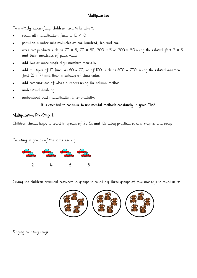# Multiplication

To multiply successfully, children need to be able to:

- recall all multiplication facts to  $10 \times 10$
- partition number into multiples of one hundred, ten and one
- work out products such as 70  $\times$  5, 70  $\times$  50, 700  $\times$  5 or 700  $\times$  50 using the related fact 7  $\times$  5 and their knowledge of place value
- add two or more single-digit numbers mentally
- add multiples of 10 (such as 60 + 70) or of 100 (such as 600 + 700) using the related addition fact (6 + 7) and their knowledge of place value
- add combinations of whole numbers using the column method.
- understand doubling
- understand that multiplication is commutative.

### It is essential to continue to use mental methods constantly in your OMS

# Multiplication Pre-Stage 1:

Children should begin to count in groups of 2s, 5s and 10s using practical objects, rhymes and songs.

Counting in groups of the same size e.g.



Giving the children practical resources in groups to count e.g. three groups of five monkeys to count in 5s



Singing counting songs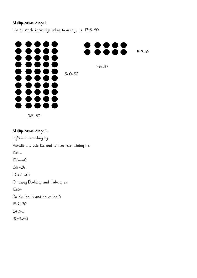# Multiplication Stage 1:

Use timetable knowledge linked to arrays, i.e. 12x5=60



10x5=50

# Multiplication Stage 2:

Informal recording by: Partitioning into IOs and Is then recombining i.e.  $16x + =$  $10x4 = 40$  $6x4 = 24$ 40+24=64 Or using Doubling and Halving i.e. 15x6= Double the 15 and halve the 6 15x2=30  $6 \div 2 = 3$ 

30x3=90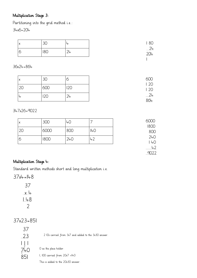# Multiplication Stage 3:

Partitioning into the grid method i.e.:

34x6=204

| $\sqrt{}$<br>$\sqrt{ }$ | $\mathcal{D} \subset$<br>ا ∪ر | 80                |
|-------------------------|-------------------------------|-------------------|
|                         | 180                           | 24<br><u> 204</u> |
|                         |                               |                   |

36x24=864

| ΙX | 3C  | О      | 600<br>$\frac{1}{20}$ |
|----|-----|--------|-----------------------|
| 2C | 600 | 120    | 20                    |
| ΤĻ | ∠∪  | $24 -$ | $\frac{24}{864}$      |

347x26=9022

| X  | 300  | 40  |              | 6000<br>1800 |
|----|------|-----|--------------|--------------|
| 20 | 6000 | 800 | $ 40\rangle$ | 800          |
| б  | 1800 | 240 | 42           | 240<br> 40   |
|    |      |     |              | 42           |
|    |      |     |              | anda         |

# Multiplication Stage 4:

Standard written methods short and long multiplication i.e.

37x4=148

37x23=851

| 37                        |                |
|---------------------------|----------------|
| 23                        | $\overline{2}$ |
| $\vert \ \vert_2$ $\vert$ |                |
| <u>Ū+Ū</u>                | O as t         |
| 851                       | I, 100         |
|                           |                |

2 10s carried from 3x7 and added to the 3x30 answer.

the place holder.

 $carried$  from  $20x7 =140$ 

This is added to the 20x30 answer.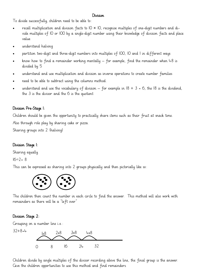#### Division

To divide successfully, children need to be able to:

- recall multiplication and division facts to  $10 \times 10$ , recognise multiples of one-digit numbers and divide multiples of 10 or 100 by a single-digit number using their knowledge of division facts and place value
- understand halving
- partition two-digit and three-digit numbers into multiples of 100, 10 and 1 in different ways
- know how to find a remainder working mentally  $-$  for example, find the remainder when  $+8$  is divided by 5
- understand and use multiplication and division as inverse operations to create number families
- need to be able to subtract using the columns method.
- understand and use the vocabulary of division for example in  $18 \div 3 = 6$ , the 18 is the dividend, the 3 is the divisor and the 6 is the quotient

# Division Pre-Stage 1:

Children should be given the opportunity to practically share items such as their fruit at snack time.

Also through role play by sharing cake or pizza.

Sharing groups into 2 (halving)

# Division Stage 1:

Sharing equally.

 $16 \div 2 = 8$ 

This can be expressed as sharing into 2 groups physically and then pictorially like so:



The children then count the number in each circle to find the answer. This method will also work with remainders as there will be a "left over"

# Division Stage 2:

Grouping on a number line i.e.:

 $32 \div 8 = 4$ 



Children divide by single multiples of the divisor recording above the line, the final group is the answer. Give the children opportunities to use this method and find remainders.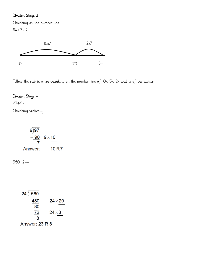# Division Stage 3:

Chunking on the number line.

84÷7=12



Follow the rubric when chunking on the number line of 10x, 5x, 2x and 1x of the divisor.

# Division Stage 4:

 $97:9=$ 

Chunking vertically

$$
\frac{9}{7} = \frac{90}{7} = 9 \times 10
$$
  
Answer: 10 R7

 $560 \div 24 =$ 

| 24)560         |               |
|----------------|---------------|
| 480            | $24\times 20$ |
| 80             |               |
| 72             | $24\times3$   |
| 8              |               |
| Answer: 23 R 8 |               |